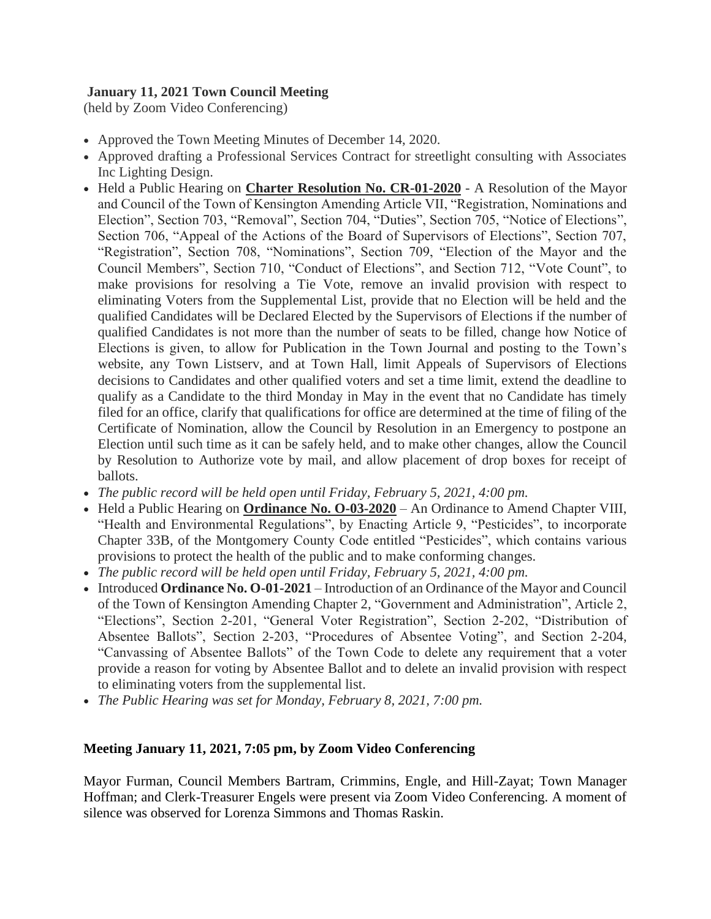# **January 11, 2021 Town Council Meeting**

(held by Zoom Video Conferencing)

- Approved the Town Meeting Minutes of December 14, 2020.
- Approved drafting a Professional Services Contract for streetlight consulting with Associates Inc Lighting Design.
- Held a Public Hearing on **[Charter Resolution No. CR-01-2020](http://r20.rs6.net/tn.jsp?f=001ySPx9YzNcBeHvEKLzniRt2Hdj1X27wcYm_xWIn4vNM_W7JMbSkouALwjQvvueDtNC0uJ9vXJetIHJXEMFpOBGFXUxQj7Z38ZVv0i8Oe8WbT2F5ay6HxSr4FREW65sllgCpqj_ggQ7sczaZgdcEnFEWBGiKgM7GyV7FCBq0GXwK-B4iwSLmfdCufj4DZQuJm9NvstqEF-KGI=&c=NPWBAE3_A6sEjdBtmmIn4J-9g9RJuVVcW3zGQMQeCS6HObL7OeFjbg==&ch=YVvdjaPAvzELQeudIKSVj9kUT9Af-FoTg2WhWOFm9QXdi8mrE47E5w==)** A Resolution of the Mayor and Council of the Town of Kensington Amending Article VII, "Registration, Nominations and Election", Section 703, "Removal", Section 704, "Duties", Section 705, "Notice of Elections", Section 706, "Appeal of the Actions of the Board of Supervisors of Elections", Section 707, "Registration", Section 708, "Nominations", Section 709, "Election of the Mayor and the Council Members", Section 710, "Conduct of Elections", and Section 712, "Vote Count", to make provisions for resolving a Tie Vote, remove an invalid provision with respect to eliminating Voters from the Supplemental List, provide that no Election will be held and the qualified Candidates will be Declared Elected by the Supervisors of Elections if the number of qualified Candidates is not more than the number of seats to be filled, change how Notice of Elections is given, to allow for Publication in the Town Journal and posting to the Town's website, any Town Listserv, and at Town Hall, limit Appeals of Supervisors of Elections decisions to Candidates and other qualified voters and set a time limit, extend the deadline to qualify as a Candidate to the third Monday in May in the event that no Candidate has timely filed for an office, clarify that qualifications for office are determined at the time of filing of the Certificate of Nomination, allow the Council by Resolution in an Emergency to postpone an Election until such time as it can be safely held, and to make other changes, allow the Council by Resolution to Authorize vote by mail, and allow placement of drop boxes for receipt of ballots.
- *The public record will be held open until Friday, February 5, 2021, 4:00 pm.*
- Held a Public Hearing on **[Ordinance No. O-03-2020](http://r20.rs6.net/tn.jsp?f=001ySPx9YzNcBeHvEKLzniRt2Hdj1X27wcYm_xWIn4vNM_W7JMbSkouALwjQvvueDtN5_-FAdogYsc6RWQLNJqwc62VPZWMPBp-Osv_FkQU2q276OUAmZgRHXW2h6dsXl31qpVnXAHTu4fhxz99NzInSk6HqXf7ec4a13wLEf6D7VFj3ZVVfIfuV23KV_zhaiJu&c=NPWBAE3_A6sEjdBtmmIn4J-9g9RJuVVcW3zGQMQeCS6HObL7OeFjbg==&ch=YVvdjaPAvzELQeudIKSVj9kUT9Af-FoTg2WhWOFm9QXdi8mrE47E5w==)** An Ordinance to Amend Chapter VIII, "Health and Environmental Regulations", by Enacting Article 9, "Pesticides", to incorporate Chapter 33B, of the Montgomery County Code entitled "Pesticides", which contains various provisions to protect the health of the public and to make conforming changes.
- *The public record will be held open until Friday, February 5, 2021, 4:00 pm.*
- Introduced **Ordinance No. O-01-2021** Introduction of an Ordinance of the Mayor and Council of the Town of Kensington Amending Chapter 2, "Government and Administration", Article 2, "Elections", Section 2-201, "General Voter Registration", Section 2-202, "Distribution of Absentee Ballots", Section 2-203, "Procedures of Absentee Voting", and Section 2-204, "Canvassing of Absentee Ballots" of the Town Code to delete any requirement that a voter provide a reason for voting by Absentee Ballot and to delete an invalid provision with respect to eliminating voters from the supplemental list.
- *The Public Hearing was set for Monday, February 8, 2021, 7:00 pm.*

# **Meeting January 11, 2021, 7:05 pm, by Zoom Video Conferencing**

Mayor Furman, Council Members Bartram, Crimmins, Engle, and Hill-Zayat; Town Manager Hoffman; and Clerk-Treasurer Engels were present via Zoom Video Conferencing. A moment of silence was observed for Lorenza Simmons and Thomas Raskin.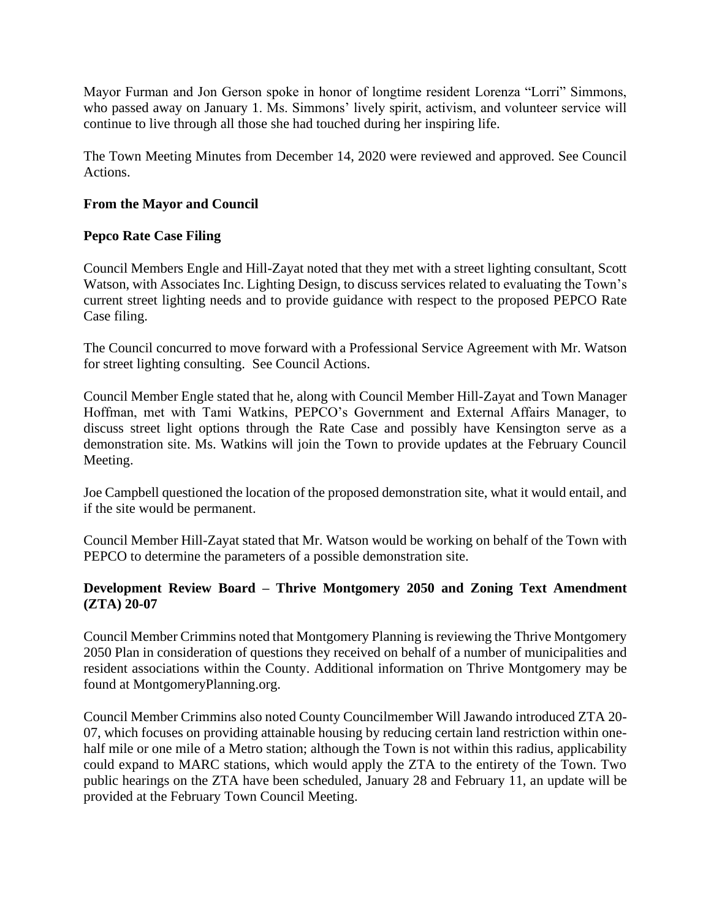Mayor Furman and Jon Gerson spoke in honor of longtime resident Lorenza "Lorri" Simmons, who passed away on January 1. Ms. Simmons' lively spirit, activism, and volunteer service will continue to live through all those she had touched during her inspiring life.

The Town Meeting Minutes from December 14, 2020 were reviewed and approved. See Council Actions.

# **From the Mayor and Council**

# **Pepco Rate Case Filing**

Council Members Engle and Hill-Zayat noted that they met with a street lighting consultant, Scott Watson, with Associates Inc. Lighting Design, to discuss services related to evaluating the Town's current street lighting needs and to provide guidance with respect to the proposed PEPCO Rate Case filing.

The Council concurred to move forward with a Professional Service Agreement with Mr. Watson for street lighting consulting. See Council Actions.

Council Member Engle stated that he, along with Council Member Hill-Zayat and Town Manager Hoffman, met with Tami Watkins, PEPCO's Government and External Affairs Manager, to discuss street light options through the Rate Case and possibly have Kensington serve as a demonstration site. Ms. Watkins will join the Town to provide updates at the February Council Meeting.

Joe Campbell questioned the location of the proposed demonstration site, what it would entail, and if the site would be permanent.

Council Member Hill-Zayat stated that Mr. Watson would be working on behalf of the Town with PEPCO to determine the parameters of a possible demonstration site.

# **Development Review Board – Thrive Montgomery 2050 and Zoning Text Amendment (ZTA) 20-07**

Council Member Crimmins noted that Montgomery Planning is reviewing the Thrive Montgomery 2050 Plan in consideration of questions they received on behalf of a number of municipalities and resident associations within the County. Additional information on Thrive Montgomery may be found at MontgomeryPlanning.org.

Council Member Crimmins also noted County Councilmember Will Jawando introduced ZTA 20- 07, which focuses on providing attainable housing by reducing certain land restriction within onehalf mile or one mile of a Metro station; although the Town is not within this radius, applicability could expand to MARC stations, which would apply the ZTA to the entirety of the Town. Two public hearings on the ZTA have been scheduled, January 28 and February 11, an update will be provided at the February Town Council Meeting.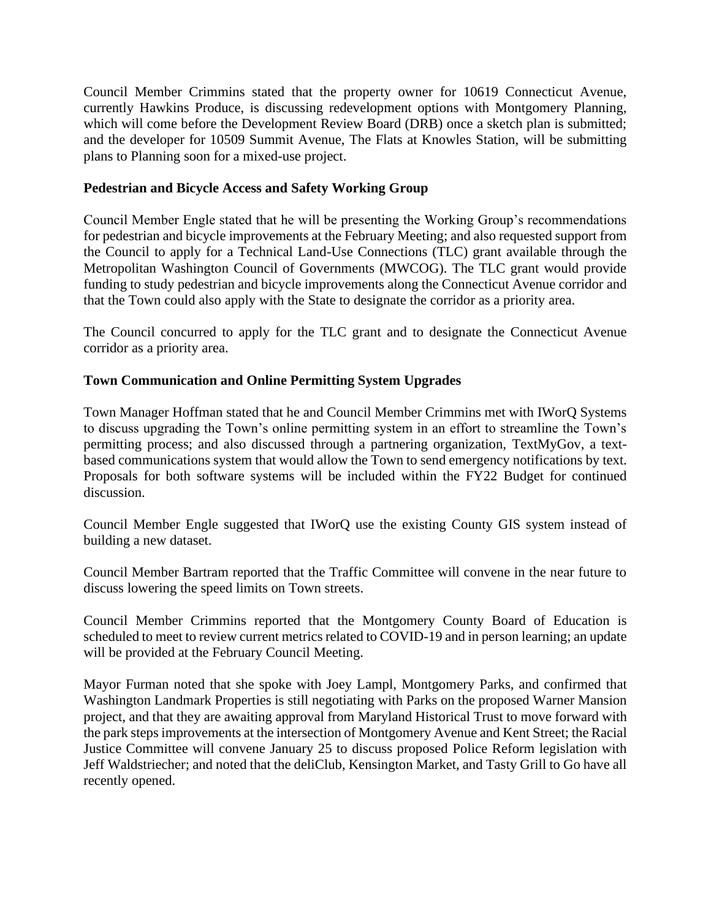Council Member Crimmins stated that the property owner for 10619 Connecticut Avenue, currently Hawkins Produce, is discussing redevelopment options with Montgomery Planning, which will come before the Development Review Board (DRB) once a sketch plan is submitted; and the developer for 10509 Summit Avenue, The Flats at Knowles Station, will be submitting plans to Planning soon for a mixed-use project.

## **Pedestrian and Bicycle Access and Safety Working Group**

Council Member Engle stated that he will be presenting the Working Group's recommendations for pedestrian and bicycle improvements at the February Meeting; and also requested support from the Council to apply for a Technical Land-Use Connections (TLC) grant available through the Metropolitan Washington Council of Governments (MWCOG). The TLC grant would provide funding to study pedestrian and bicycle improvements along the Connecticut Avenue corridor and that the Town could also apply with the State to designate the corridor as a priority area.

The Council concurred to apply for the TLC grant and to designate the Connecticut Avenue corridor as a priority area.

## **Town Communication and Online Permitting System Upgrades**

Town Manager Hoffman stated that he and Council Member Crimmins met with IWorQ Systems to discuss upgrading the Town's online permitting system in an effort to streamline the Town's permitting process; and also discussed through a partnering organization, TextMyGov, a textbased communications system that would allow the Town to send emergency notifications by text. Proposals for both software systems will be included within the FY22 Budget for continued discussion.

Council Member Engle suggested that IWorQ use the existing County GIS system instead of building a new dataset.

Council Member Bartram reported that the Traffic Committee will convene in the near future to discuss lowering the speed limits on Town streets.

Council Member Crimmins reported that the Montgomery County Board of Education is scheduled to meet to review current metrics related to COVID-19 and in person learning; an update will be provided at the February Council Meeting.

Mayor Furman noted that she spoke with Joey Lampl, Montgomery Parks, and confirmed that Washington Landmark Properties is still negotiating with Parks on the proposed Warner Mansion project, and that they are awaiting approval from Maryland Historical Trust to move forward with the park steps improvements at the intersection of Montgomery Avenue and Kent Street; the Racial Justice Committee will convene January 25 to discuss proposed Police Reform legislation with Jeff Waldstriecher; and noted that the deliClub, Kensington Market, and Tasty Grill to Go have all recently opened.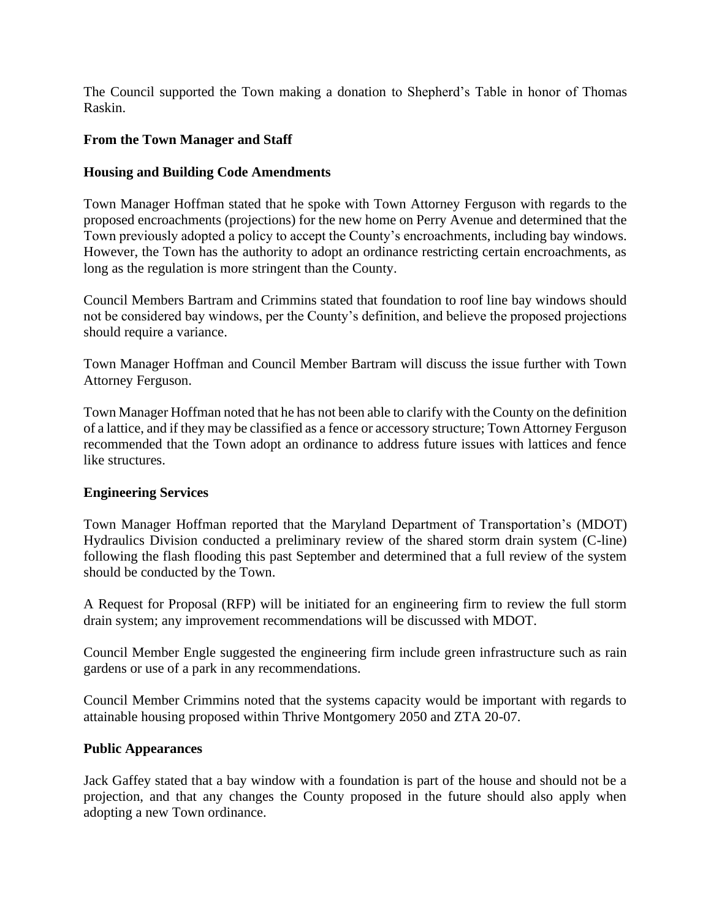The Council supported the Town making a donation to Shepherd's Table in honor of Thomas Raskin.

## **From the Town Manager and Staff**

## **Housing and Building Code Amendments**

Town Manager Hoffman stated that he spoke with Town Attorney Ferguson with regards to the proposed encroachments (projections) for the new home on Perry Avenue and determined that the Town previously adopted a policy to accept the County's encroachments, including bay windows. However, the Town has the authority to adopt an ordinance restricting certain encroachments, as long as the regulation is more stringent than the County.

Council Members Bartram and Crimmins stated that foundation to roof line bay windows should not be considered bay windows, per the County's definition, and believe the proposed projections should require a variance.

Town Manager Hoffman and Council Member Bartram will discuss the issue further with Town Attorney Ferguson.

Town Manager Hoffman noted that he has not been able to clarify with the County on the definition of a lattice, and if they may be classified as a fence or accessory structure; Town Attorney Ferguson recommended that the Town adopt an ordinance to address future issues with lattices and fence like structures.

### **Engineering Services**

Town Manager Hoffman reported that the Maryland Department of Transportation's (MDOT) Hydraulics Division conducted a preliminary review of the shared storm drain system (C-line) following the flash flooding this past September and determined that a full review of the system should be conducted by the Town.

A Request for Proposal (RFP) will be initiated for an engineering firm to review the full storm drain system; any improvement recommendations will be discussed with MDOT.

Council Member Engle suggested the engineering firm include green infrastructure such as rain gardens or use of a park in any recommendations.

Council Member Crimmins noted that the systems capacity would be important with regards to attainable housing proposed within Thrive Montgomery 2050 and ZTA 20-07.

### **Public Appearances**

Jack Gaffey stated that a bay window with a foundation is part of the house and should not be a projection, and that any changes the County proposed in the future should also apply when adopting a new Town ordinance.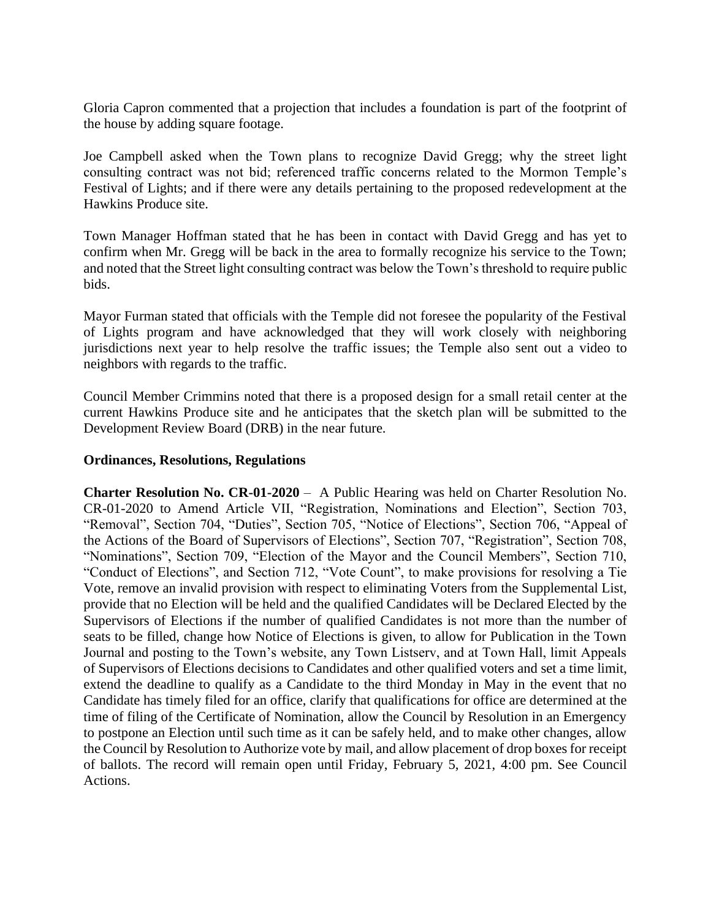Gloria Capron commented that a projection that includes a foundation is part of the footprint of the house by adding square footage.

Joe Campbell asked when the Town plans to recognize David Gregg; why the street light consulting contract was not bid; referenced traffic concerns related to the Mormon Temple's Festival of Lights; and if there were any details pertaining to the proposed redevelopment at the Hawkins Produce site.

Town Manager Hoffman stated that he has been in contact with David Gregg and has yet to confirm when Mr. Gregg will be back in the area to formally recognize his service to the Town; and noted that the Street light consulting contract was below the Town's threshold to require public bids.

Mayor Furman stated that officials with the Temple did not foresee the popularity of the Festival of Lights program and have acknowledged that they will work closely with neighboring jurisdictions next year to help resolve the traffic issues; the Temple also sent out a video to neighbors with regards to the traffic.

Council Member Crimmins noted that there is a proposed design for a small retail center at the current Hawkins Produce site and he anticipates that the sketch plan will be submitted to the Development Review Board (DRB) in the near future.

### **Ordinances, Resolutions, Regulations**

**Charter Resolution No. CR-01-2020** – A Public Hearing was held on Charter Resolution No. CR-01-2020 to Amend Article VII, "Registration, Nominations and Election", Section 703, "Removal", Section 704, "Duties", Section 705, "Notice of Elections", Section 706, "Appeal of the Actions of the Board of Supervisors of Elections", Section 707, "Registration", Section 708, "Nominations", Section 709, "Election of the Mayor and the Council Members", Section 710, "Conduct of Elections", and Section 712, "Vote Count", to make provisions for resolving a Tie Vote, remove an invalid provision with respect to eliminating Voters from the Supplemental List, provide that no Election will be held and the qualified Candidates will be Declared Elected by the Supervisors of Elections if the number of qualified Candidates is not more than the number of seats to be filled, change how Notice of Elections is given, to allow for Publication in the Town Journal and posting to the Town's website, any Town Listserv, and at Town Hall, limit Appeals of Supervisors of Elections decisions to Candidates and other qualified voters and set a time limit, extend the deadline to qualify as a Candidate to the third Monday in May in the event that no Candidate has timely filed for an office, clarify that qualifications for office are determined at the time of filing of the Certificate of Nomination, allow the Council by Resolution in an Emergency to postpone an Election until such time as it can be safely held, and to make other changes, allow the Council by Resolution to Authorize vote by mail, and allow placement of drop boxes for receipt of ballots. The record will remain open until Friday, February 5, 2021, 4:00 pm. See Council Actions.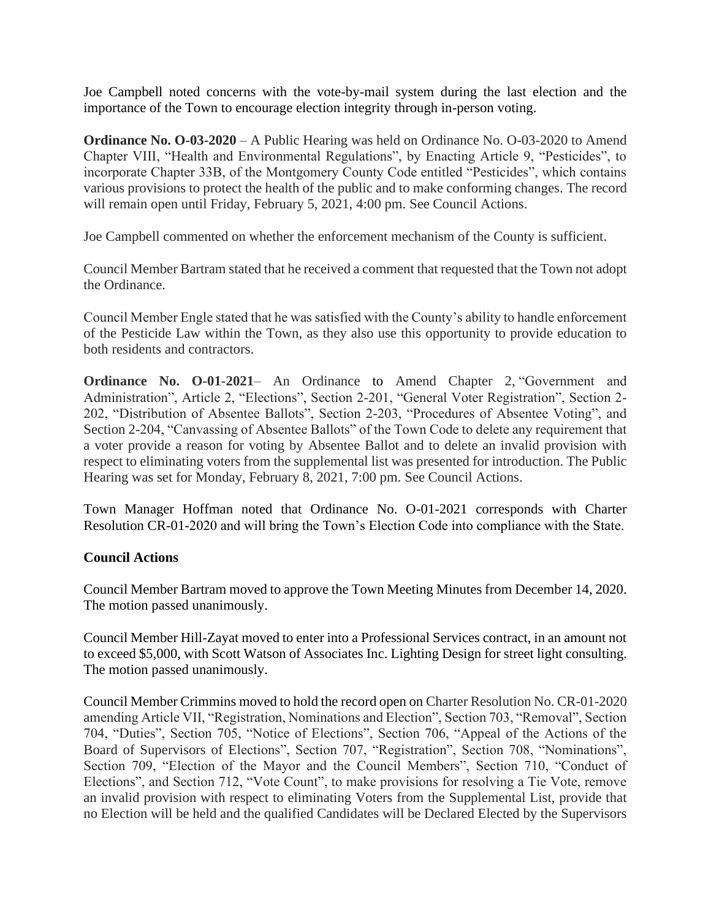Joe Campbell noted concerns with the vote-by-mail system during the last election and the importance of the Town to encourage election integrity through in-person voting.

**[Ordinance No. O-03-2020](http://r20.rs6.net/tn.jsp?f=001ySPx9YzNcBeHvEKLzniRt2Hdj1X27wcYm_xWIn4vNM_W7JMbSkouALwjQvvueDtN5_-FAdogYsc6RWQLNJqwc62VPZWMPBp-Osv_FkQU2q276OUAmZgRHXW2h6dsXl31qpVnXAHTu4fhxz99NzInSk6HqXf7ec4a13wLEf6D7VFj3ZVVfIfuV23KV_zhaiJu&c=NPWBAE3_A6sEjdBtmmIn4J-9g9RJuVVcW3zGQMQeCS6HObL7OeFjbg==&ch=YVvdjaPAvzELQeudIKSVj9kUT9Af-FoTg2WhWOFm9QXdi8mrE47E5w==)** – A Public Hearing was held on Ordinance No. O-03-2020 to Amend Chapter VIII, "Health and Environmental Regulations", by Enacting Article 9, "Pesticides", to incorporate Chapter 33B, of the Montgomery County Code entitled "Pesticides", which contains various provisions to protect the health of the public and to make conforming changes. The record will remain open until Friday, February 5, 2021, 4:00 pm. See Council Actions.

Joe Campbell commented on whether the enforcement mechanism of the County is sufficient.

Council Member Bartram stated that he received a comment that requested that the Town not adopt the Ordinance.

Council Member Engle stated that he was satisfied with the County's ability to handle enforcement of the Pesticide Law within the Town, as they also use this opportunity to provide education to both residents and contractors.

**Ordinance No. O-01-2021**– An Ordinance to Amend Chapter 2, "Government and Administration", Article 2, "Elections", Section 2-201, "General Voter Registration", Section 2- 202, "Distribution of Absentee Ballots", Section 2-203, "Procedures of Absentee Voting", and Section 2-204, "Canvassing of Absentee Ballots" of the Town Code to delete any requirement that a voter provide a reason for voting by Absentee Ballot and to delete an invalid provision with respect to eliminating voters from the supplemental list was presented for introduction. The Public Hearing was set for Monday, February 8, 2021, 7:00 pm. See Council Actions.

Town Manager Hoffman noted that Ordinance No. O-01-2021 corresponds with Charter Resolution CR-01-2020 and will bring the Town's Election Code into compliance with the State.

### **Council Actions**

Council Member Bartram moved to approve the Town Meeting Minutes from December 14, 2020. The motion passed unanimously.

Council Member Hill-Zayat moved to enter into a Professional Services contract, in an amount not to exceed \$5,000, with Scott Watson of Associates Inc. Lighting Design for street light consulting. The motion passed unanimously.

Council Member Crimmins moved to hold the record open on [Charter Resolution No. CR-01-2020](http://r20.rs6.net/tn.jsp?f=001ySPx9YzNcBeHvEKLzniRt2Hdj1X27wcYm_xWIn4vNM_W7JMbSkouALwjQvvueDtNC0uJ9vXJetIHJXEMFpOBGFXUxQj7Z38ZVv0i8Oe8WbT2F5ay6HxSr4FREW65sllgCpqj_ggQ7sczaZgdcEnFEWBGiKgM7GyV7FCBq0GXwK-B4iwSLmfdCufj4DZQuJm9NvstqEF-KGI=&c=NPWBAE3_A6sEjdBtmmIn4J-9g9RJuVVcW3zGQMQeCS6HObL7OeFjbg==&ch=YVvdjaPAvzELQeudIKSVj9kUT9Af-FoTg2WhWOFm9QXdi8mrE47E5w==) amending Article VII, "Registration, Nominations and Election", Section 703, "Removal", Section 704, "Duties", Section 705, "Notice of Elections", Section 706, "Appeal of the Actions of the Board of Supervisors of Elections", Section 707, "Registration", Section 708, "Nominations", Section 709, "Election of the Mayor and the Council Members", Section 710, "Conduct of Elections", and Section 712, "Vote Count", to make provisions for resolving a Tie Vote, remove an invalid provision with respect to eliminating Voters from the Supplemental List, provide that no Election will be held and the qualified Candidates will be Declared Elected by the Supervisors